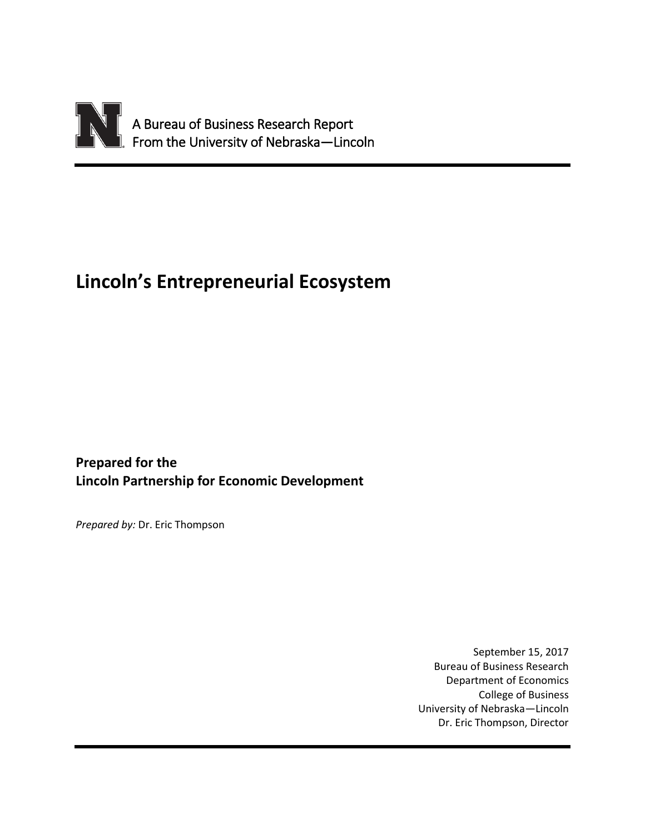

# **Lincoln's Entrepreneurial Ecosystem**

**Prepared for the Lincoln Partnership for Economic Development**

*Prepared by:* Dr. Eric Thompson

September 15, 2017 Bureau of Business Research Department of Economics College of Business University of Nebraska—Lincoln Dr. Eric Thompson, Director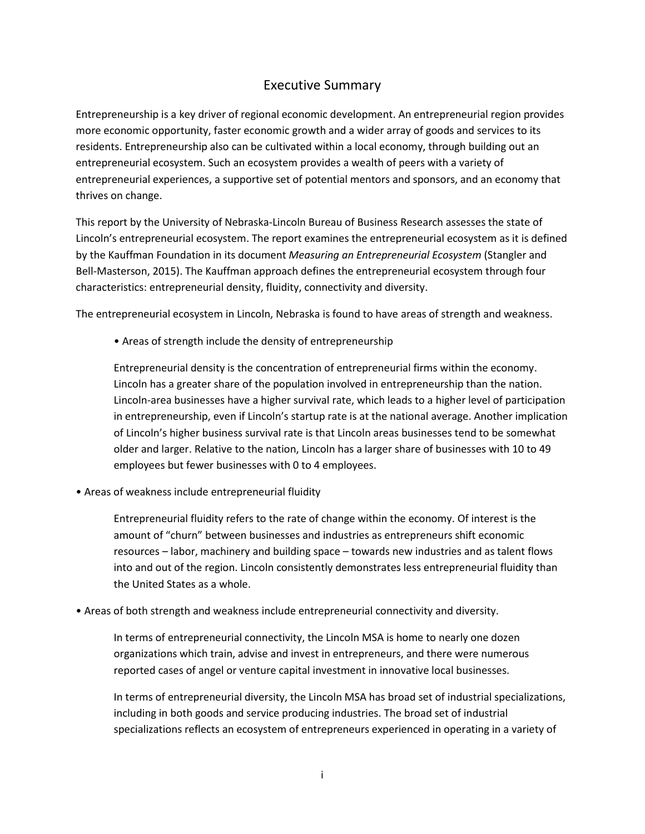### Executive Summary

Entrepreneurship is a key driver of regional economic development. An entrepreneurial region provides more economic opportunity, faster economic growth and a wider array of goods and services to its residents. Entrepreneurship also can be cultivated within a local economy, through building out an entrepreneurial ecosystem. Such an ecosystem provides a wealth of peers with a variety of entrepreneurial experiences, a supportive set of potential mentors and sponsors, and an economy that thrives on change.

This report by the University of Nebraska-Lincoln Bureau of Business Research assesses the state of Lincoln's entrepreneurial ecosystem. The report examines the entrepreneurial ecosystem as it is defined by the Kauffman Foundation in its document *Measuring an Entrepreneurial Ecosystem* (Stangler and Bell-Masterson, 2015). The Kauffman approach defines the entrepreneurial ecosystem through four characteristics: entrepreneurial density, fluidity, connectivity and diversity.

The entrepreneurial ecosystem in Lincoln, Nebraska is found to have areas of strength and weakness.

• Areas of strength include the density of entrepreneurship

Entrepreneurial density is the concentration of entrepreneurial firms within the economy. Lincoln has a greater share of the population involved in entrepreneurship than the nation. Lincoln-area businesses have a higher survival rate, which leads to a higher level of participation in entrepreneurship, even if Lincoln's startup rate is at the national average. Another implication of Lincoln's higher business survival rate is that Lincoln areas businesses tend to be somewhat older and larger. Relative to the nation, Lincoln has a larger share of businesses with 10 to 49 employees but fewer businesses with 0 to 4 employees.

• Areas of weakness include entrepreneurial fluidity

Entrepreneurial fluidity refers to the rate of change within the economy. Of interest is the amount of "churn" between businesses and industries as entrepreneurs shift economic resources – labor, machinery and building space – towards new industries and as talent flows into and out of the region. Lincoln consistently demonstrates less entrepreneurial fluidity than the United States as a whole.

• Areas of both strength and weakness include entrepreneurial connectivity and diversity.

In terms of entrepreneurial connectivity, the Lincoln MSA is home to nearly one dozen organizations which train, advise and invest in entrepreneurs, and there were numerous reported cases of angel or venture capital investment in innovative local businesses.

In terms of entrepreneurial diversity, the Lincoln MSA has broad set of industrial specializations, including in both goods and service producing industries. The broad set of industrial specializations reflects an ecosystem of entrepreneurs experienced in operating in a variety of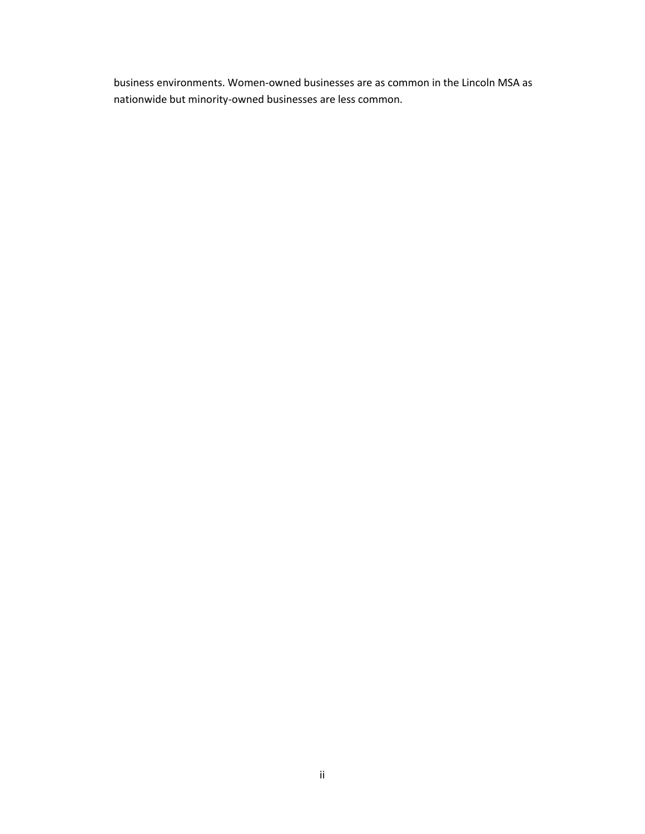business environments. Women-owned businesses are as common in the Lincoln MSA as nationwide but minority-owned businesses are less common.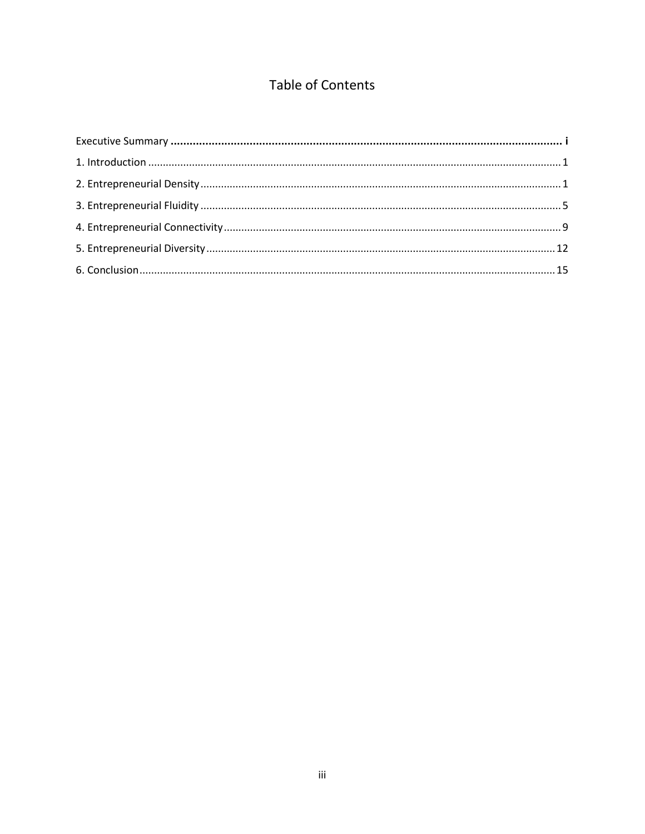### Table of Contents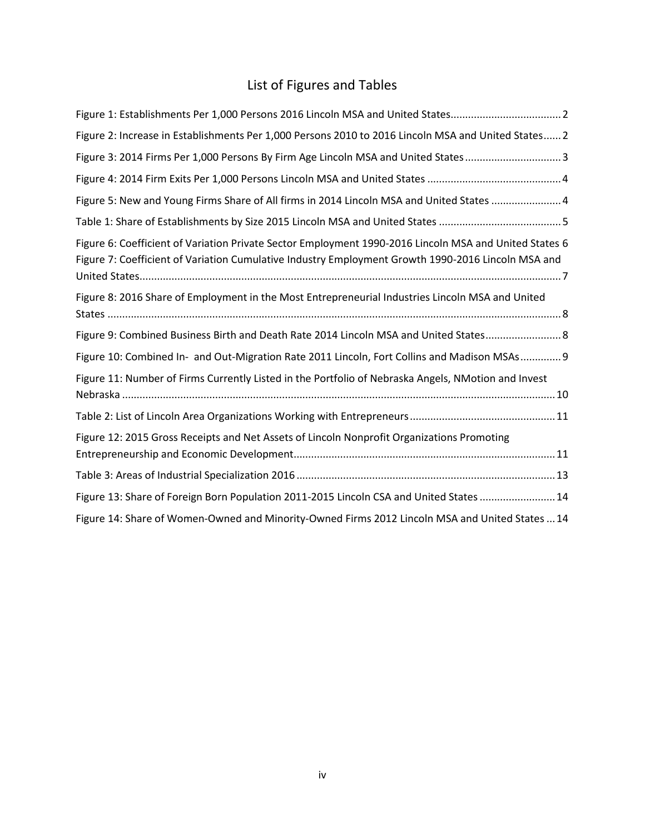## List of Figures and Tables

| Figure 1: Establishments Per 1,000 Persons 2016 Lincoln MSA and United States2                                                                                                                               |
|--------------------------------------------------------------------------------------------------------------------------------------------------------------------------------------------------------------|
| Figure 2: Increase in Establishments Per 1,000 Persons 2010 to 2016 Lincoln MSA and United States 2                                                                                                          |
| Figure 3: 2014 Firms Per 1,000 Persons By Firm Age Lincoln MSA and United States3                                                                                                                            |
|                                                                                                                                                                                                              |
| Figure 5: New and Young Firms Share of All firms in 2014 Lincoln MSA and United States 4                                                                                                                     |
|                                                                                                                                                                                                              |
| Figure 6: Coefficient of Variation Private Sector Employment 1990-2016 Lincoln MSA and United States 6<br>Figure 7: Coefficient of Variation Cumulative Industry Employment Growth 1990-2016 Lincoln MSA and |
| Figure 8: 2016 Share of Employment in the Most Entrepreneurial Industries Lincoln MSA and United                                                                                                             |
| Figure 9: Combined Business Birth and Death Rate 2014 Lincoln MSA and United States 8                                                                                                                        |
| Figure 10: Combined In- and Out-Migration Rate 2011 Lincoln, Fort Collins and Madison MSAs  9                                                                                                                |
| Figure 11: Number of Firms Currently Listed in the Portfolio of Nebraska Angels, NMotion and Invest                                                                                                          |
|                                                                                                                                                                                                              |
| Figure 12: 2015 Gross Receipts and Net Assets of Lincoln Nonprofit Organizations Promoting                                                                                                                   |
|                                                                                                                                                                                                              |
| Figure 13: Share of Foreign Born Population 2011-2015 Lincoln CSA and United States 14                                                                                                                       |
| Figure 14: Share of Women-Owned and Minority-Owned Firms 2012 Lincoln MSA and United States  14                                                                                                              |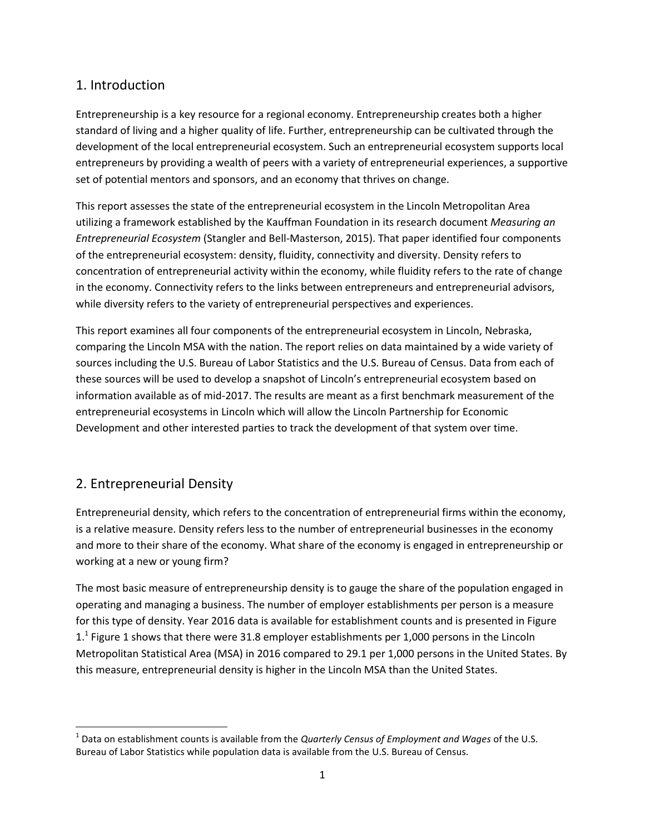### 1. Introduction

Entrepreneurship is a key resource for a regional economy. Entrepreneurship creates both a higher standard of living and a higher quality of life. Further, entrepreneurship can be cultivated through the development of the local entrepreneurial ecosystem. Such an entrepreneurial ecosystem supports local entrepreneurs by providing a wealth of peers with a variety of entrepreneurial experiences, a supportive set of potential mentors and sponsors, and an economy that thrives on change.

This report assesses the state of the entrepreneurial ecosystem in the Lincoln Metropolitan Area utilizing a framework established by the Kauffman Foundation in its research document *Measuring an Entrepreneurial Ecosystem* (Stangler and Bell-Masterson, 2015). That paper identified four components of the entrepreneurial ecosystem: density, fluidity, connectivity and diversity. Density refers to concentration of entrepreneurial activity within the economy, while fluidity refers to the rate of change in the economy. Connectivity refers to the links between entrepreneurs and entrepreneurial advisors, while diversity refers to the variety of entrepreneurial perspectives and experiences.

This report examines all four components of the entrepreneurial ecosystem in Lincoln, Nebraska, comparing the Lincoln MSA with the nation. The report relies on data maintained by a wide variety of sources including the U.S. Bureau of Labor Statistics and the U.S. Bureau of Census. Data from each of these sources will be used to develop a snapshot of Lincoln's entrepreneurial ecosystem based on information available as of mid-2017. The results are meant as a first benchmark measurement of the entrepreneurial ecosystems in Lincoln which will allow the Lincoln Partnership for Economic Development and other interested parties to track the development of that system over time.

#### 2. Entrepreneurial Density

Entrepreneurial density, which refers to the concentration of entrepreneurial firms within the economy, is a relative measure. Density refers less to the number of entrepreneurial businesses in the economy and more to their share of the economy. What share of the economy is engaged in entrepreneurship or working at a new or young firm?

The most basic measure of entrepreneurship density is to gauge the share of the population engaged in operating and managing a business. The number of employer establishments per person is a measure for this type of density. Year 2016 data is available for establishment counts and is presented in Figure 1.<sup>1</sup> Figure 1 shows that there were 31.8 employer establishments per 1,000 persons in the Lincoln Metropolitan Statistical Area (MSA) in 2016 compared to 29.1 per 1,000 persons in the United States. By this measure, entrepreneurial density is higher in the Lincoln MSA than the United States.

l 1 Data on establishment counts is available from the *Quarterly Census of Employment and Wages* of the U.S. Bureau of Labor Statistics while population data is available from the U.S. Bureau of Census.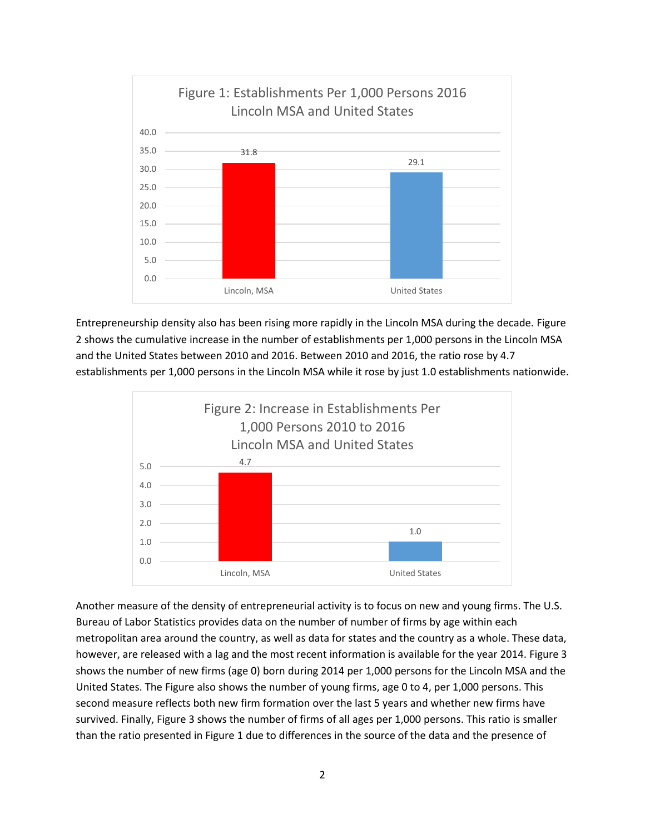

Entrepreneurship density also has been rising more rapidly in the Lincoln MSA during the decade. Figure 2 shows the cumulative increase in the number of establishments per 1,000 persons in the Lincoln MSA and the United States between 2010 and 2016. Between 2010 and 2016, the ratio rose by 4.7 establishments per 1,000 persons in the Lincoln MSA while it rose by just 1.0 establishments nationwide.



Another measure of the density of entrepreneurial activity is to focus on new and young firms. The U.S. Bureau of Labor Statistics provides data on the number of number of firms by age within each metropolitan area around the country, as well as data for states and the country as a whole. These data, however, are released with a lag and the most recent information is available for the year 2014. Figure 3 shows the number of new firms (age 0) born during 2014 per 1,000 persons for the Lincoln MSA and the United States. The Figure also shows the number of young firms, age 0 to 4, per 1,000 persons. This second measure reflects both new firm formation over the last 5 years and whether new firms have survived. Finally, Figure 3 shows the number of firms of all ages per 1,000 persons. This ratio is smaller than the ratio presented in Figure 1 due to differences in the source of the data and the presence of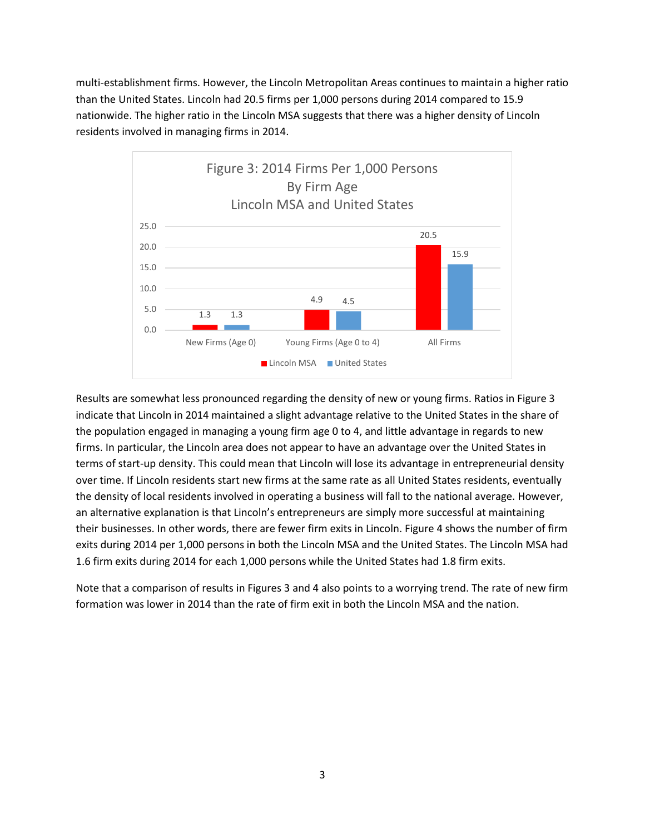multi-establishment firms. However, the Lincoln Metropolitan Areas continues to maintain a higher ratio than the United States. Lincoln had 20.5 firms per 1,000 persons during 2014 compared to 15.9 nationwide. The higher ratio in the Lincoln MSA suggests that there was a higher density of Lincoln residents involved in managing firms in 2014.



Results are somewhat less pronounced regarding the density of new or young firms. Ratios in Figure 3 indicate that Lincoln in 2014 maintained a slight advantage relative to the United States in the share of the population engaged in managing a young firm age 0 to 4, and little advantage in regards to new firms. In particular, the Lincoln area does not appear to have an advantage over the United States in terms of start-up density. This could mean that Lincoln will lose its advantage in entrepreneurial density over time. If Lincoln residents start new firms at the same rate as all United States residents, eventually the density of local residents involved in operating a business will fall to the national average. However, an alternative explanation is that Lincoln's entrepreneurs are simply more successful at maintaining their businesses. In other words, there are fewer firm exits in Lincoln. Figure 4 shows the number of firm exits during 2014 per 1,000 persons in both the Lincoln MSA and the United States. The Lincoln MSA had 1.6 firm exits during 2014 for each 1,000 persons while the United States had 1.8 firm exits.

Note that a comparison of results in Figures 3 and 4 also points to a worrying trend. The rate of new firm formation was lower in 2014 than the rate of firm exit in both the Lincoln MSA and the nation.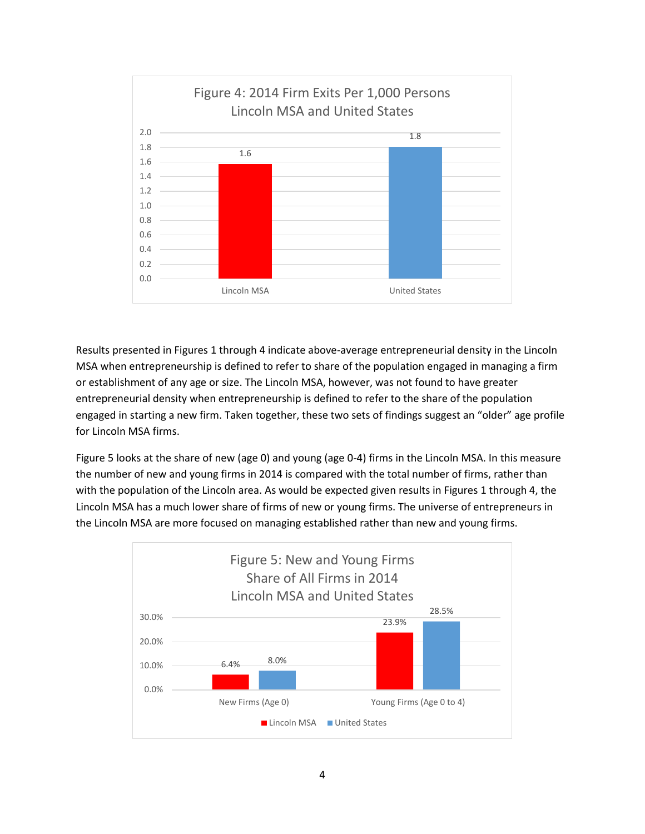

Results presented in Figures 1 through 4 indicate above-average entrepreneurial density in the Lincoln MSA when entrepreneurship is defined to refer to share of the population engaged in managing a firm or establishment of any age or size. The Lincoln MSA, however, was not found to have greater entrepreneurial density when entrepreneurship is defined to refer to the share of the population engaged in starting a new firm. Taken together, these two sets of findings suggest an "older" age profile for Lincoln MSA firms.

Figure 5 looks at the share of new (age 0) and young (age 0-4) firms in the Lincoln MSA. In this measure the number of new and young firms in 2014 is compared with the total number of firms, rather than with the population of the Lincoln area. As would be expected given results in Figures 1 through 4, the Lincoln MSA has a much lower share of firms of new or young firms. The universe of entrepreneurs in the Lincoln MSA are more focused on managing established rather than new and young firms.

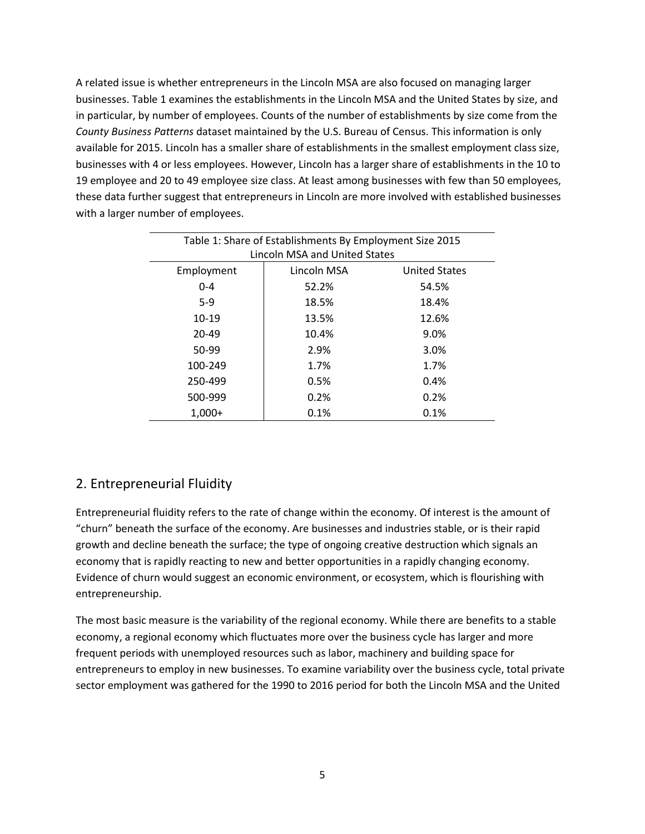A related issue is whether entrepreneurs in the Lincoln MSA are also focused on managing larger businesses. Table 1 examines the establishments in the Lincoln MSA and the United States by size, and in particular, by number of employees. Counts of the number of establishments by size come from the *County Business Patterns* dataset maintained by the U.S. Bureau of Census. This information is only available for 2015. Lincoln has a smaller share of establishments in the smallest employment class size, businesses with 4 or less employees. However, Lincoln has a larger share of establishments in the 10 to 19 employee and 20 to 49 employee size class. At least among businesses with few than 50 employees, these data further suggest that entrepreneurs in Lincoln are more involved with established businesses with a larger number of employees.

| Table 1: Share of Establishments By Employment Size 2015 |             |                      |  |  |
|----------------------------------------------------------|-------------|----------------------|--|--|
| Lincoln MSA and United States                            |             |                      |  |  |
| Employment                                               | Lincoln MSA | <b>United States</b> |  |  |
| $0 - 4$                                                  | 52.2%       | 54.5%                |  |  |
| $5-9$                                                    | 18.5%       | 18.4%                |  |  |
| $10-19$                                                  | 13.5%       | 12.6%                |  |  |
| $20 - 49$                                                | 10.4%       | 9.0%                 |  |  |
| 50-99                                                    | 2.9%        | 3.0%                 |  |  |
| 100-249                                                  | 1.7%        | 1.7%                 |  |  |
| 250-499                                                  | 0.5%        | 0.4%                 |  |  |
| 500-999                                                  | 0.2%        | 0.2%                 |  |  |
| $1,000+$                                                 | 0.1%        | 0.1%                 |  |  |

#### 2. Entrepreneurial Fluidity

Entrepreneurial fluidity refers to the rate of change within the economy. Of interest is the amount of "churn" beneath the surface of the economy. Are businesses and industries stable, or is their rapid growth and decline beneath the surface; the type of ongoing creative destruction which signals an economy that is rapidly reacting to new and better opportunities in a rapidly changing economy. Evidence of churn would suggest an economic environment, or ecosystem, which is flourishing with entrepreneurship.

The most basic measure is the variability of the regional economy. While there are benefits to a stable economy, a regional economy which fluctuates more over the business cycle has larger and more frequent periods with unemployed resources such as labor, machinery and building space for entrepreneurs to employ in new businesses. To examine variability over the business cycle, total private sector employment was gathered for the 1990 to 2016 period for both the Lincoln MSA and the United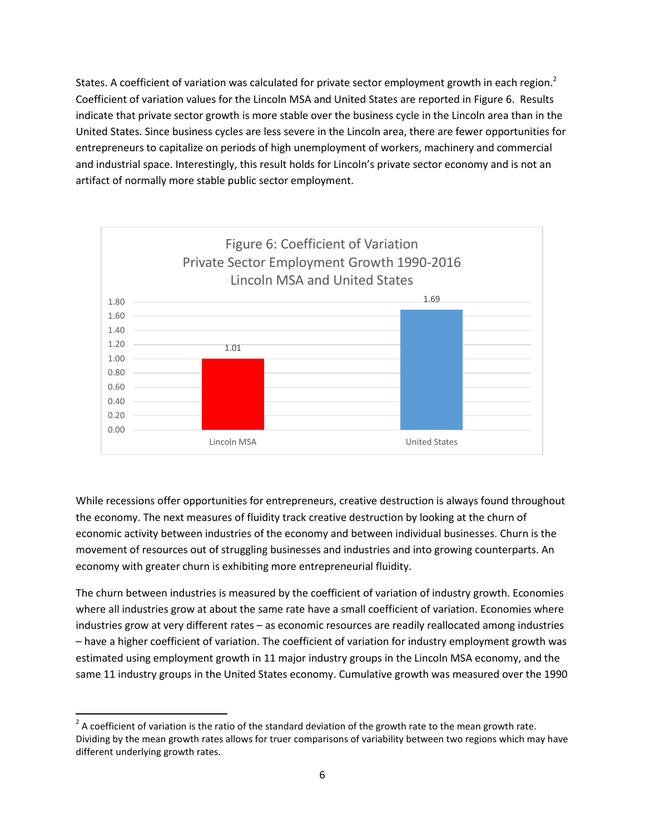States. A coefficient of variation was calculated for private sector employment growth in each region.<sup>2</sup> Coefficient of variation values for the Lincoln MSA and United States are reported in Figure 6. Results indicate that private sector growth is more stable over the business cycle in the Lincoln area than in the United States. Since business cycles are less severe in the Lincoln area, there are fewer opportunities for entrepreneurs to capitalize on periods of high unemployment of workers, machinery and commercial and industrial space. Interestingly, this result holds for Lincoln's private sector economy and is not an artifact of normally more stable public sector employment.



While recessions offer opportunities for entrepreneurs, creative destruction is always found throughout the economy. The next measures of fluidity track creative destruction by looking at the churn of economic activity between industries of the economy and between individual businesses. Churn is the movement of resources out of struggling businesses and industries and into growing counterparts. An economy with greater churn is exhibiting more entrepreneurial fluidity.

The churn between industries is measured by the coefficient of variation of industry growth. Economies where all industries grow at about the same rate have a small coefficient of variation. Economies where industries grow at very different rates – as economic resources are readily reallocated among industries – have a higher coefficient of variation. The coefficient of variation for industry employment growth was estimated using employment growth in 11 major industry groups in the Lincoln MSA economy, and the same 11 industry groups in the United States economy. Cumulative growth was measured over the 1990

 $\overline{\phantom{a}}$ 

 $^2$  A coefficient of variation is the ratio of the standard deviation of the growth rate to the mean growth rate. Dividing by the mean growth rates allows for truer comparisons of variability between two regions which may have different underlying growth rates.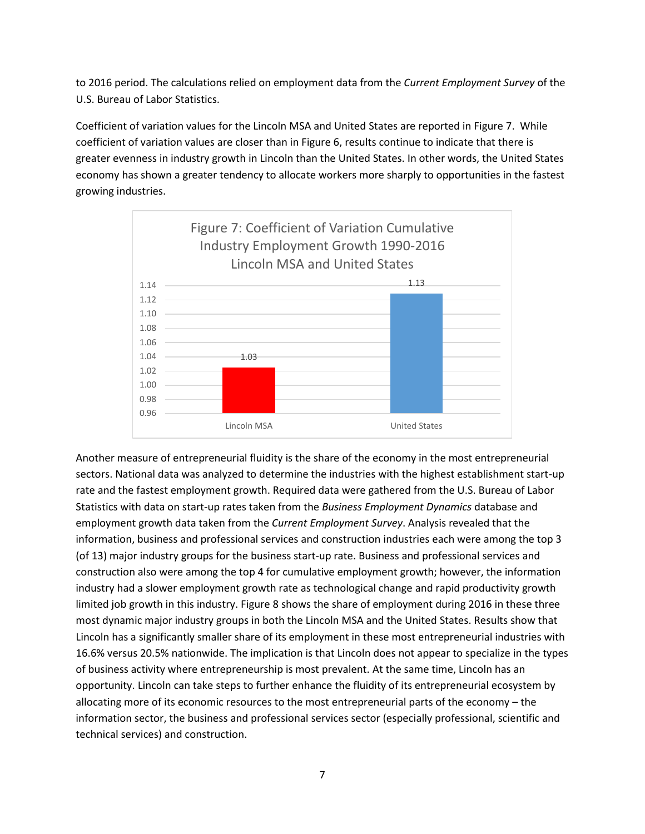to 2016 period. The calculations relied on employment data from the *Current Employment Survey* of the U.S. Bureau of Labor Statistics.

Coefficient of variation values for the Lincoln MSA and United States are reported in Figure 7. While coefficient of variation values are closer than in Figure 6, results continue to indicate that there is greater evenness in industry growth in Lincoln than the United States. In other words, the United States economy has shown a greater tendency to allocate workers more sharply to opportunities in the fastest growing industries.



Another measure of entrepreneurial fluidity is the share of the economy in the most entrepreneurial sectors. National data was analyzed to determine the industries with the highest establishment start-up rate and the fastest employment growth. Required data were gathered from the U.S. Bureau of Labor Statistics with data on start-up rates taken from the *Business Employment Dynamics* database and employment growth data taken from the *Current Employment Survey*. Analysis revealed that the information, business and professional services and construction industries each were among the top 3 (of 13) major industry groups for the business start-up rate. Business and professional services and construction also were among the top 4 for cumulative employment growth; however, the information industry had a slower employment growth rate as technological change and rapid productivity growth limited job growth in this industry. Figure 8 shows the share of employment during 2016 in these three most dynamic major industry groups in both the Lincoln MSA and the United States. Results show that Lincoln has a significantly smaller share of its employment in these most entrepreneurial industries with 16.6% versus 20.5% nationwide. The implication is that Lincoln does not appear to specialize in the types of business activity where entrepreneurship is most prevalent. At the same time, Lincoln has an opportunity. Lincoln can take steps to further enhance the fluidity of its entrepreneurial ecosystem by allocating more of its economic resources to the most entrepreneurial parts of the economy – the information sector, the business and professional services sector (especially professional, scientific and technical services) and construction.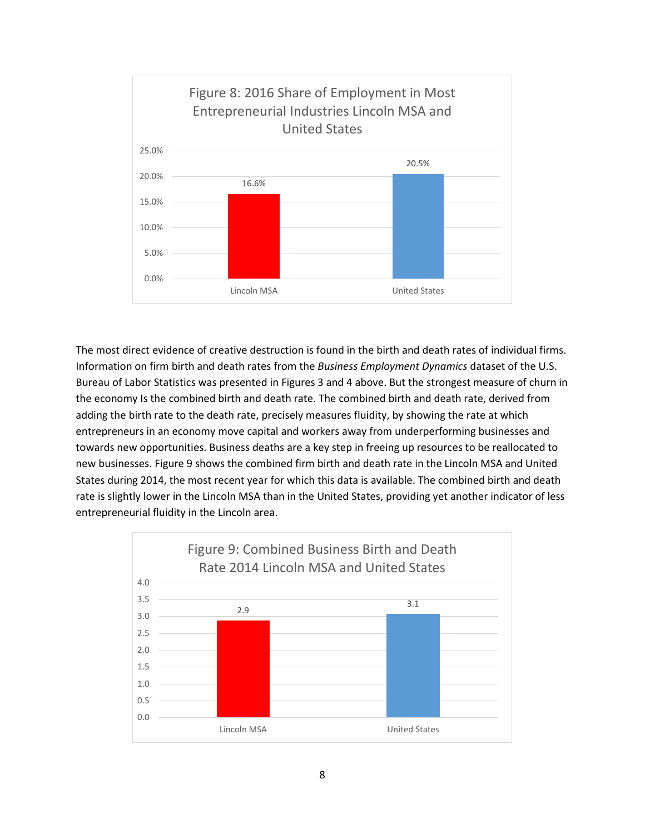

The most direct evidence of creative destruction is found in the birth and death rates of individual firms. Information on firm birth and death rates from the *Business Employment Dynamics* dataset of the U.S. Bureau of Labor Statistics was presented in Figures 3 and 4 above. But the strongest measure of churn in the economy Is the combined birth and death rate. The combined birth and death rate, derived from adding the birth rate to the death rate, precisely measures fluidity, by showing the rate at which entrepreneurs in an economy move capital and workers away from underperforming businesses and towards new opportunities. Business deaths are a key step in freeing up resources to be reallocated to new businesses. Figure 9 shows the combined firm birth and death rate in the Lincoln MSA and United States during 2014, the most recent year for which this data is available. The combined birth and death rate is slightly lower in the Lincoln MSA than in the United States, providing yet another indicator of less entrepreneurial fluidity in the Lincoln area.

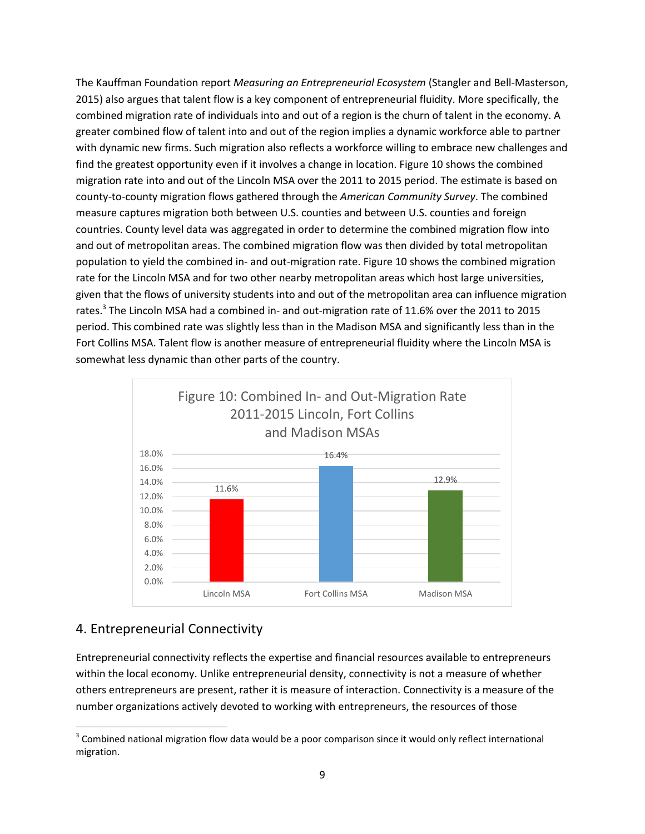The Kauffman Foundation report *Measuring an Entrepreneurial Ecosystem* (Stangler and Bell-Masterson, 2015) also argues that talent flow is a key component of entrepreneurial fluidity. More specifically, the combined migration rate of individuals into and out of a region is the churn of talent in the economy. A greater combined flow of talent into and out of the region implies a dynamic workforce able to partner with dynamic new firms. Such migration also reflects a workforce willing to embrace new challenges and find the greatest opportunity even if it involves a change in location. Figure 10 shows the combined migration rate into and out of the Lincoln MSA over the 2011 to 2015 period. The estimate is based on county-to-county migration flows gathered through the *American Community Survey*. The combined measure captures migration both between U.S. counties and between U.S. counties and foreign countries. County level data was aggregated in order to determine the combined migration flow into and out of metropolitan areas. The combined migration flow was then divided by total metropolitan population to yield the combined in- and out-migration rate. Figure 10 shows the combined migration rate for the Lincoln MSA and for two other nearby metropolitan areas which host large universities, given that the flows of university students into and out of the metropolitan area can influence migration rates.<sup>3</sup> The Lincoln MSA had a combined in- and out-migration rate of 11.6% over the 2011 to 2015 period. This combined rate was slightly less than in the Madison MSA and significantly less than in the Fort Collins MSA. Talent flow is another measure of entrepreneurial fluidity where the Lincoln MSA is somewhat less dynamic than other parts of the country.



#### 4. Entrepreneurial Connectivity

Entrepreneurial connectivity reflects the expertise and financial resources available to entrepreneurs within the local economy. Unlike entrepreneurial density, connectivity is not a measure of whether others entrepreneurs are present, rather it is measure of interaction. Connectivity is a measure of the number organizations actively devoted to working with entrepreneurs, the resources of those

l  $3$  Combined national migration flow data would be a poor comparison since it would only reflect international migration.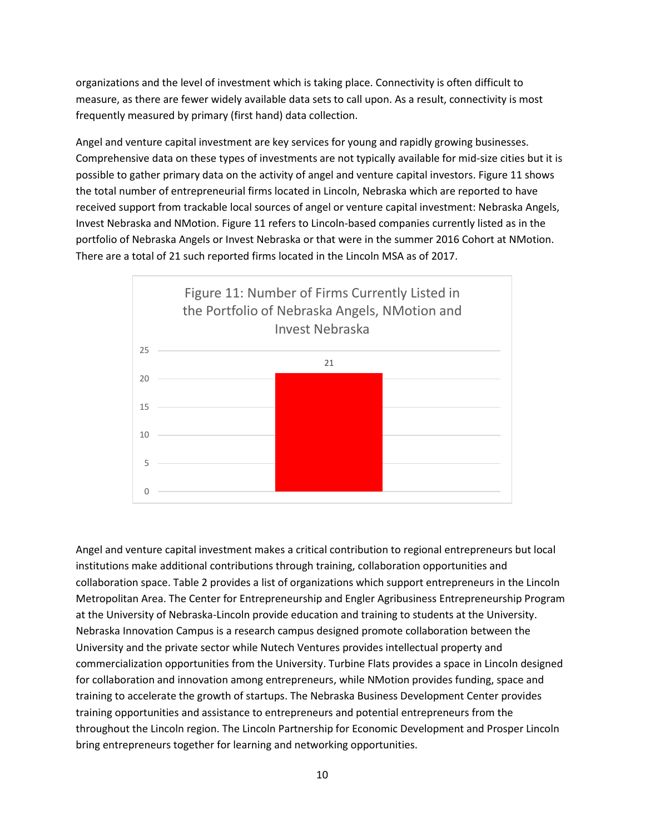organizations and the level of investment which is taking place. Connectivity is often difficult to measure, as there are fewer widely available data sets to call upon. As a result, connectivity is most frequently measured by primary (first hand) data collection.

Angel and venture capital investment are key services for young and rapidly growing businesses. Comprehensive data on these types of investments are not typically available for mid-size cities but it is possible to gather primary data on the activity of angel and venture capital investors. Figure 11 shows the total number of entrepreneurial firms located in Lincoln, Nebraska which are reported to have received support from trackable local sources of angel or venture capital investment: Nebraska Angels, Invest Nebraska and NMotion. Figure 11 refers to Lincoln-based companies currently listed as in the portfolio of Nebraska Angels or Invest Nebraska or that were in the summer 2016 Cohort at NMotion. There are a total of 21 such reported firms located in the Lincoln MSA as of 2017.



Angel and venture capital investment makes a critical contribution to regional entrepreneurs but local institutions make additional contributions through training, collaboration opportunities and collaboration space. Table 2 provides a list of organizations which support entrepreneurs in the Lincoln Metropolitan Area. The Center for Entrepreneurship and Engler Agribusiness Entrepreneurship Program at the University of Nebraska-Lincoln provide education and training to students at the University. Nebraska Innovation Campus is a research campus designed promote collaboration between the University and the private sector while Nutech Ventures provides intellectual property and commercialization opportunities from the University. Turbine Flats provides a space in Lincoln designed for collaboration and innovation among entrepreneurs, while NMotion provides funding, space and training to accelerate the growth of startups. The Nebraska Business Development Center provides training opportunities and assistance to entrepreneurs and potential entrepreneurs from the throughout the Lincoln region. The Lincoln Partnership for Economic Development and Prosper Lincoln bring entrepreneurs together for learning and networking opportunities.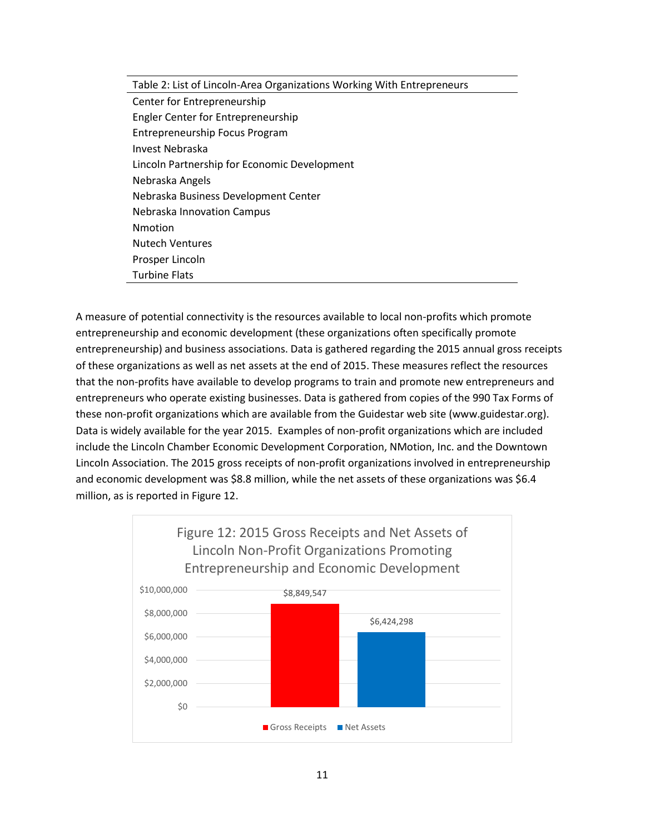#### Table 2: List of Lincoln-Area Organizations Working With Entrepreneurs

Center for Entrepreneurship Engler Center for Entrepreneurship Entrepreneurship Focus Program Invest Nebraska Lincoln Partnership for Economic Development Nebraska Angels Nebraska Business Development Center Nebraska Innovation Campus Nmotion Nutech Ventures Prosper Lincoln Turbine Flats

A measure of potential connectivity is the resources available to local non-profits which promote entrepreneurship and economic development (these organizations often specifically promote entrepreneurship) and business associations. Data is gathered regarding the 2015 annual gross receipts of these organizations as well as net assets at the end of 2015. These measures reflect the resources that the non-profits have available to develop programs to train and promote new entrepreneurs and entrepreneurs who operate existing businesses. Data is gathered from copies of the 990 Tax Forms of these non-profit organizations which are available from the Guidestar web site [\(www.guidestar.org\)](http://www.guidestar.org/). Data is widely available for the year 2015. Examples of non-profit organizations which are included include the Lincoln Chamber Economic Development Corporation, NMotion, Inc. and the Downtown Lincoln Association. The 2015 gross receipts of non-profit organizations involved in entrepreneurship and economic development was \$8.8 million, while the net assets of these organizations was \$6.4 million, as is reported in Figure 12.

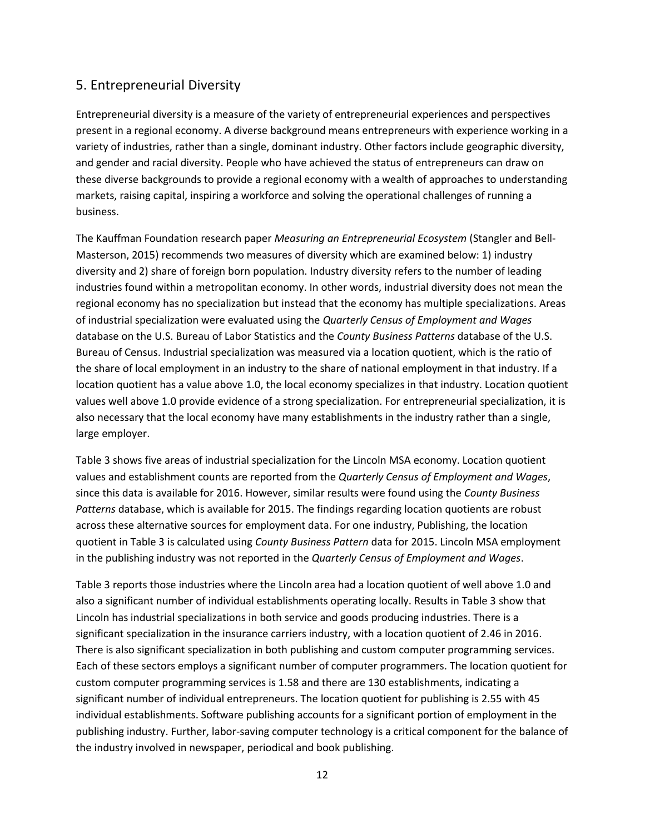#### 5. Entrepreneurial Diversity

Entrepreneurial diversity is a measure of the variety of entrepreneurial experiences and perspectives present in a regional economy. A diverse background means entrepreneurs with experience working in a variety of industries, rather than a single, dominant industry. Other factors include geographic diversity, and gender and racial diversity. People who have achieved the status of entrepreneurs can draw on these diverse backgrounds to provide a regional economy with a wealth of approaches to understanding markets, raising capital, inspiring a workforce and solving the operational challenges of running a business.

The Kauffman Foundation research paper *Measuring an Entrepreneurial Ecosystem* (Stangler and Bell-Masterson, 2015) recommends two measures of diversity which are examined below: 1) industry diversity and 2) share of foreign born population. Industry diversity refers to the number of leading industries found within a metropolitan economy. In other words, industrial diversity does not mean the regional economy has no specialization but instead that the economy has multiple specializations. Areas of industrial specialization were evaluated using the *Quarterly Census of Employment and Wages* database on the U.S. Bureau of Labor Statistics and the *County Business Patterns* database of the U.S. Bureau of Census. Industrial specialization was measured via a location quotient, which is the ratio of the share of local employment in an industry to the share of national employment in that industry. If a location quotient has a value above 1.0, the local economy specializes in that industry. Location quotient values well above 1.0 provide evidence of a strong specialization. For entrepreneurial specialization, it is also necessary that the local economy have many establishments in the industry rather than a single, large employer.

Table 3 shows five areas of industrial specialization for the Lincoln MSA economy. Location quotient values and establishment counts are reported from the *Quarterly Census of Employment and Wages*, since this data is available for 2016. However, similar results were found using the *County Business Patterns* database, which is available for 2015. The findings regarding location quotients are robust across these alternative sources for employment data. For one industry, Publishing, the location quotient in Table 3 is calculated using *County Business Pattern* data for 2015. Lincoln MSA employment in the publishing industry was not reported in the *Quarterly Census of Employment and Wages*.

Table 3 reports those industries where the Lincoln area had a location quotient of well above 1.0 and also a significant number of individual establishments operating locally. Results in Table 3 show that Lincoln has industrial specializations in both service and goods producing industries. There is a significant specialization in the insurance carriers industry, with a location quotient of 2.46 in 2016. There is also significant specialization in both publishing and custom computer programming services. Each of these sectors employs a significant number of computer programmers. The location quotient for custom computer programming services is 1.58 and there are 130 establishments, indicating a significant number of individual entrepreneurs. The location quotient for publishing is 2.55 with 45 individual establishments. Software publishing accounts for a significant portion of employment in the publishing industry. Further, labor-saving computer technology is a critical component for the balance of the industry involved in newspaper, periodical and book publishing.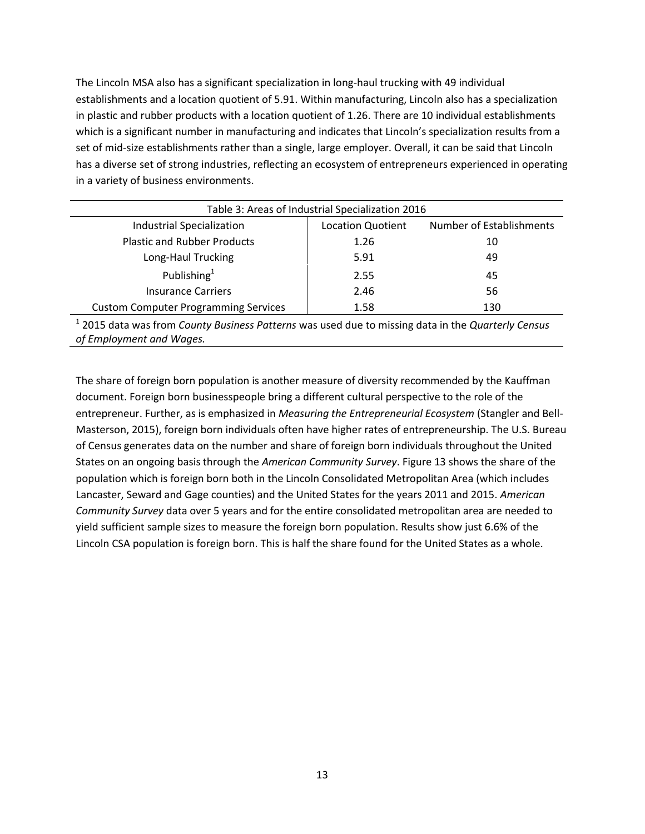The Lincoln MSA also has a significant specialization in long-haul trucking with 49 individual establishments and a location quotient of 5.91. Within manufacturing, Lincoln also has a specialization in plastic and rubber products with a location quotient of 1.26. There are 10 individual establishments which is a significant number in manufacturing and indicates that Lincoln's specialization results from a set of mid-size establishments rather than a single, large employer. Overall, it can be said that Lincoln has a diverse set of strong industries, reflecting an ecosystem of entrepreneurs experienced in operating in a variety of business environments.

| Table 3: Areas of Industrial Specialization 2016 |                          |                          |  |
|--------------------------------------------------|--------------------------|--------------------------|--|
| Industrial Specialization                        | <b>Location Quotient</b> | Number of Establishments |  |
| <b>Plastic and Rubber Products</b>               | 1.26                     | 10                       |  |
| Long-Haul Trucking                               | 5.91                     | 49                       |  |
| Publishing $1$                                   | 2.55                     | 45                       |  |
| <b>Insurance Carriers</b>                        | 2.46                     | 56                       |  |
| <b>Custom Computer Programming Services</b>      | 1.58                     | 130                      |  |

1 2015 data was from *County Business Patterns* was used due to missing data in the *Quarterly Census of Employment and Wages.*

The share of foreign born population is another measure of diversity recommended by the Kauffman document. Foreign born businesspeople bring a different cultural perspective to the role of the entrepreneur. Further, as is emphasized in *Measuring the Entrepreneurial Ecosystem* (Stangler and Bell-Masterson, 2015), foreign born individuals often have higher rates of entrepreneurship. The U.S. Bureau of Census generates data on the number and share of foreign born individuals throughout the United States on an ongoing basis through the *American Community Survey*. Figure 13 shows the share of the population which is foreign born both in the Lincoln Consolidated Metropolitan Area (which includes Lancaster, Seward and Gage counties) and the United States for the years 2011 and 2015. *American Community Survey* data over 5 years and for the entire consolidated metropolitan area are needed to yield sufficient sample sizes to measure the foreign born population. Results show just 6.6% of the Lincoln CSA population is foreign born. This is half the share found for the United States as a whole.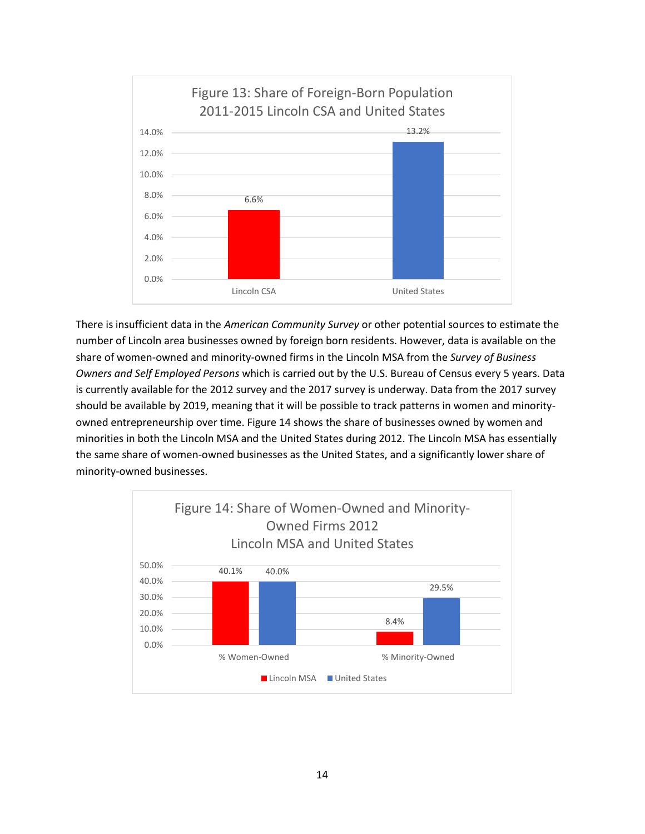

There is insufficient data in the *American Community Survey* or other potential sources to estimate the number of Lincoln area businesses owned by foreign born residents. However, data is available on the share of women-owned and minority-owned firms in the Lincoln MSA from the *Survey of Business Owners and Self Employed Persons* which is carried out by the U.S. Bureau of Census every 5 years. Data is currently available for the 2012 survey and the 2017 survey is underway. Data from the 2017 survey should be available by 2019, meaning that it will be possible to track patterns in women and minorityowned entrepreneurship over time. Figure 14 shows the share of businesses owned by women and minorities in both the Lincoln MSA and the United States during 2012. The Lincoln MSA has essentially the same share of women-owned businesses as the United States, and a significantly lower share of minority-owned businesses.